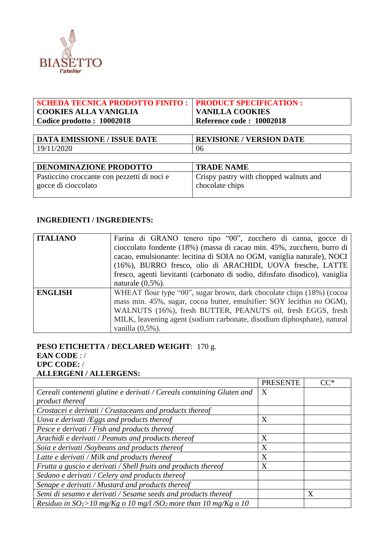

| <b>SCHEDA TECNICA PRODOTTO FINITO :</b><br><b>COOKIES ALLA VANIGLIA</b> | <b>PRODUCT SPECIFICATION:</b><br><b>VANILLA COOKIES</b>   |  |
|-------------------------------------------------------------------------|-----------------------------------------------------------|--|
| Codice prodotto: 10002018                                               | Reference code: 10002018                                  |  |
|                                                                         |                                                           |  |
| <b>DATA EMISSIONE / ISSUE DATE</b>                                      | <b>REVISIONE / VERSION DATE</b>                           |  |
| 19/11/2020                                                              | 06                                                        |  |
|                                                                         |                                                           |  |
| <b>DENOMINAZIONE PRODOTTO</b>                                           | <b>TRADE NAME</b>                                         |  |
| Pasticcino croccante con pezzetti di noci e<br>gocce di cioccolato      | Crispy pastry with chopped walnuts and<br>chocolate chips |  |
|                                                                         |                                                           |  |

#### **INGREDIENTI / INGREDIENTS:**

| <b>ITALIANO</b> | Farina di GRANO tenero tipo "00", zucchero di canna, gocce di<br>cioccolato fondente (18%) (massa di cacao min. 45%, zucchero, burro di<br>cacao, emulsionante: lecitina di SOIA no OGM, vaniglia naturale), NOCI<br>(16%), BURRO fresco, olio di ARACHIDI, UOVA fresche, LATTE<br>fresco, agenti lievitanti (carbonato di sodio, difosfato disodico), vaniglia<br>naturale $(0,5\%)$ . |
|-----------------|-----------------------------------------------------------------------------------------------------------------------------------------------------------------------------------------------------------------------------------------------------------------------------------------------------------------------------------------------------------------------------------------|
| <b>ENGLISH</b>  | WHEAT flour type "00", sugar brown, dark chocolate chips (18%) (cocoa<br>mass min. 45%, sugar, cocoa butter, emulsifier: SOY lecithin no OGM),<br>WALNUTS (16%), fresh BUTTER, PEANUTS oil, fresh EGGS, fresh<br>MILK, leavening agent (sodium carbonate, disodium diphosphate), natural<br>vanilla $(0,5\%)$ .                                                                         |

# **PESO ETICHETTA / DECLARED WEIGHT**: 170 g. **EAN CODE** : / **UPC CODE:** / **ALLERGENI / ALLERGENS:**

|                                                                               | <b>PRESENTE</b> | ՐՐ* |
|-------------------------------------------------------------------------------|-----------------|-----|
| Cereali contenenti glutine e derivati / Cereals containing Gluten and         | X               |     |
| product thereof                                                               |                 |     |
| Crostacei e derivati / Crustaceans and products thereof                       |                 |     |
| Uova e derivati $/Eggs$ and products thereof                                  | X               |     |
| Pesce e derivati / Fish and products thereof                                  |                 |     |
| Arachidi e derivati / Peanuts and products thereof                            | X               |     |
| Soia e derivati /Soybeans and products thereof                                | X               |     |
| Latte e derivati / Milk and products thereof                                  | X               |     |
| Frutta a guscio e derivati / Shell fruits and products thereof                | X               |     |
| Sedano e derivati / Celery and products thereof                               |                 |     |
| Senape e derivati / Mustard and products thereof                              |                 |     |
| Semi di sesamo e derivati / Sesame seeds and products thereof                 |                 | X   |
| Residuo in $SO_2$ >10 mg/Kg o 10 mg/l/SO <sub>2</sub> more than 10 mg/Kg o 10 |                 |     |